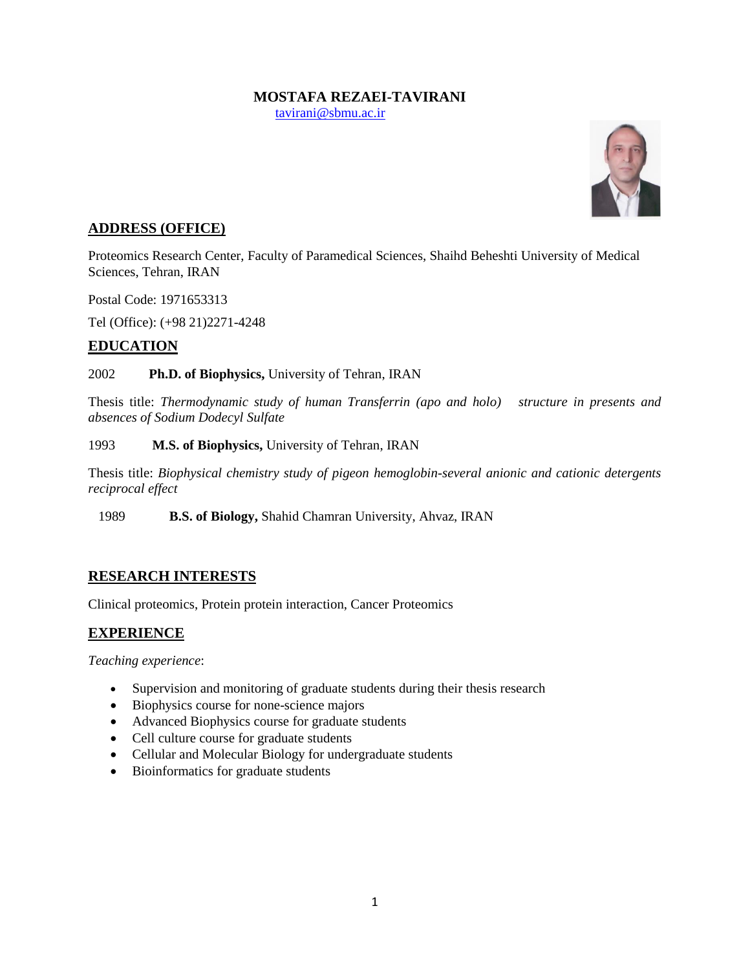# **MOSTAFA REZAEI-TAVIRANI**

[tavirani@sbmu.ac.ir](mailto:tavirani@sbmu.ac.ir)



# **ADDRESS (OFFICE)**

Proteomics Research Center, Faculty of Paramedical Sciences, Shaihd Beheshti University of Medical Sciences, Tehran, IRAN

Postal Code: 1971653313

Tel (Office): (+98 21)2271-4248

### **EDUCATION**

### 2002 **Ph.D. of Biophysics,** University of Tehran, IRAN

Thesis title: *Thermodynamic study of human Transferrin (apo and holo) structure in presents and absences of Sodium Dodecyl Sulfate*

#### 1993 **M.S. of Biophysics,** University of Tehran, IRAN

Thesis title: *Biophysical chemistry study of pigeon hemoglobin-several anionic and cationic detergents reciprocal effect*

1989 **B.S. of Biology,** Shahid Chamran University, Ahvaz, IRAN

# **RESEARCH INTERESTS**

Clinical proteomics, Protein protein interaction, Cancer Proteomics

# **EXPERIENCE**

*Teaching experience*:

- Supervision and monitoring of graduate students during their thesis research
- Biophysics course for none-science majors
- Advanced Biophysics course for graduate students
- Cell culture course for graduate students
- Cellular and Molecular Biology for undergraduate students
- Bioinformatics for graduate students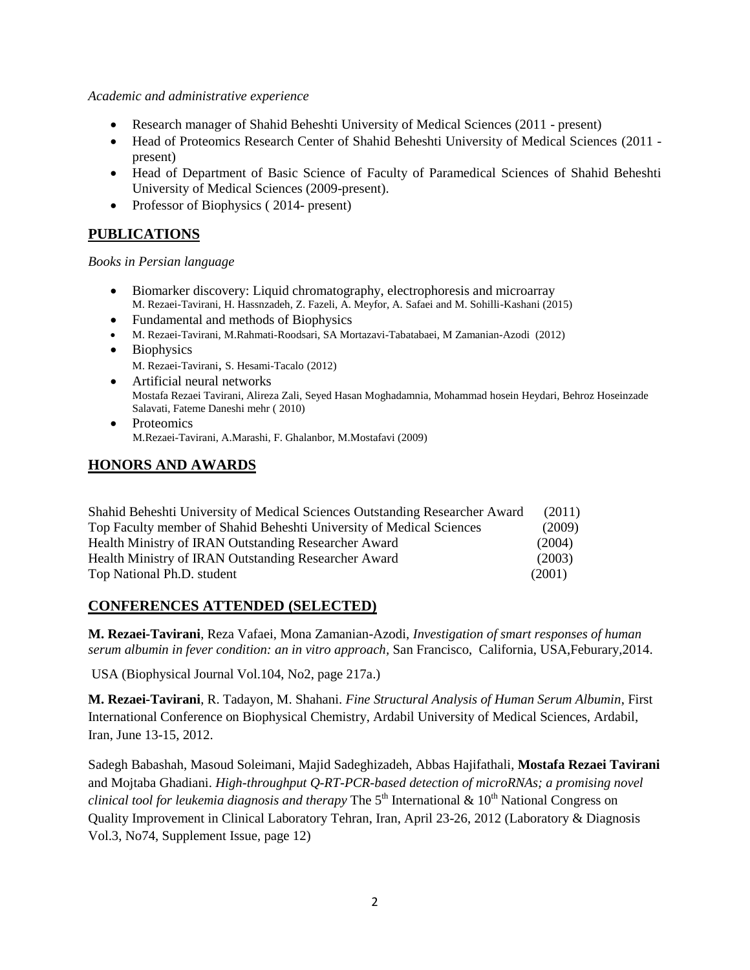#### *Academic and administrative experience*

- Research manager of Shahid Beheshti University of Medical Sciences (2011 present)
- Head of Proteomics Research Center of Shahid Beheshti University of Medical Sciences (2011 present)
- Head of Department of Basic Science of Faculty of Paramedical Sciences of Shahid Beheshti University of Medical Sciences (2009-present).
- Professor of Biophysics (2014- present)

# **PUBLICATIONS**

#### *Books in Persian language*

- Biomarker discovery: Liquid chromatography, electrophoresis and microarray M. Rezaei-Tavirani, H. Hassnzadeh, Z. Fazeli, A. Meyfor, A. Safaei and M. Sohilli-Kashani (2015)
- Fundamental and methods of Biophysics
- M. Rezaei-Tavirani, M.Rahmati-Roodsari, SA Mortazavi-Tabatabaei, M Zamanian-Azodi (2012)
- Biophysics M. Rezaei-Tavirani, S. Hesami-Tacalo (2012)
- Artificial neural networks Mostafa Rezaei Tavirani, Alireza Zali, Seyed Hasan Moghadamnia, Mohammad hosein Heydari, Behroz Hoseinzade Salavati, Fateme Daneshi mehr ( 2010)
- Proteomics M.Rezaei-Tavirani, A.Marashi, F. Ghalanbor, M.Mostafavi (2009)

### **HONORS AND AWARDS**

| Shahid Beheshti University of Medical Sciences Outstanding Researcher Award | (2011) |
|-----------------------------------------------------------------------------|--------|
| Top Faculty member of Shahid Beheshti University of Medical Sciences        | (2009) |
| Health Ministry of IRAN Outstanding Researcher Award                        | (2004) |
| Health Ministry of IRAN Outstanding Researcher Award                        | (2003) |
| Top National Ph.D. student                                                  | (2001) |

### **CONFERENCES ATTENDED (SELECTED)**

**M. Rezaei-Tavirani**, Reza Vafaei, Mona Zamanian-Azodi, *Investigation of smart responses of human serum albumin in fever condition: an in vitro approach,* San Francisco, California, USA,Feburary,2014.

USA (Biophysical Journal Vol.104, No2, page 217a.)

**M. Rezaei-Tavirani**, R. Tadayon, M. Shahani. *Fine Structural Analysis of Human Serum Albumin*, First International Conference on Biophysical Chemistry, Ardabil University of Medical Sciences, Ardabil, Iran, June 13-15, 2012.

Sadegh Babashah, Masoud Soleimani, Majid Sadeghizadeh, Abbas Hajifathali, **Mostafa Rezaei Tavirani** and Mojtaba Ghadiani. *High-throughput Q-RT-PCR-based detection of microRNAs; a promising novel clinical tool for leukemia diagnosis and therapy* The 5<sup>th</sup> International & 10<sup>th</sup> National Congress on Quality Improvement in Clinical Laboratory Tehran, Iran, April 23-26, 2012 (Laboratory & Diagnosis Vol.3, No74, Supplement Issue, page 12)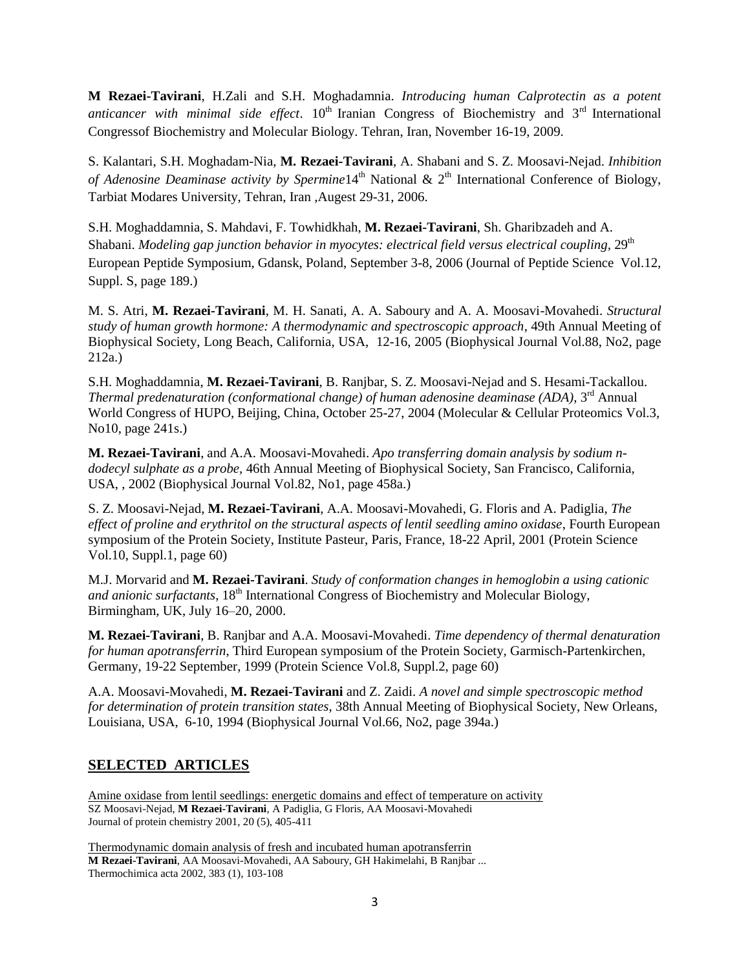**M Rezaei-Tavirani**, H.Zali and S.H. Moghadamnia. *Introducing human Calprotectin as a potent anticancer with minimal side effect*.  $10<sup>th</sup>$  Iranian Congress of Biochemistry and  $3<sup>rd</sup>$  International Congressof Biochemistry and Molecular Biology. Tehran, Iran, November 16-19, 2009.

S. Kalantari, S.H. Moghadam-Nia, **M. Rezaei-Tavirani**, A. Shabani and S. Z. Moosavi-Nejad. *Inhibition of Adenosine Deaminase activity by Spermine* 14<sup>th</sup> National & 2<sup>th</sup> International Conference of Biology, Tarbiat Modares University, Tehran, Iran ,Augest 29-31, 2006.

S.H. Moghaddamnia, S. Mahdavi, F. Towhidkhah, **M. Rezaei-Tavirani**, Sh. Gharibzadeh and A. Shabani. *Modeling gap junction behavior in myocytes: electrical field versus electrical coupling, 29<sup>th</sup>* European Peptide Symposium, Gdansk, Poland, September 3-8, 2006 (Journal of Peptide Science Vol.12, Suppl. S, page 189.)

M. S. Atri, **M. Rezaei-Tavirani**, M. H. Sanati, A. A. Saboury and A. A. Moosavi-Movahedi. *Structural study of human growth hormone: A thermodynamic and spectroscopic approach*, 49th Annual Meeting of Biophysical Society, Long Beach, California, USA, 12-16, 2005 (Biophysical Journal Vol.88, No2, page 212a.)

S.H. Moghaddamnia, **M. Rezaei-Tavirani**, B. Ranjbar, S. Z. Moosavi-Nejad and S. Hesami-Tackallou. *Thermal predenaturation (conformational change) of human adenosine deaminase (ADA)*, 3<sup>rd</sup> Annual World Congress of HUPO, Beijing, China, October 25-27, 2004 (Molecular & Cellular Proteomics Vol.3, No10, page 241s.)

**M. Rezaei-Tavirani**, and A.A. Moosavi-Movahedi. *Apo transferring domain analysis by sodium ndodecyl sulphate as a probe,* 46th Annual Meeting of Biophysical Society, San Francisco, California, USA, , 2002 (Biophysical Journal Vol.82, No1, page 458a.)

S. Z. Moosavi-Nejad, **M. Rezaei-Tavirani**, A.A. Moosavi-Movahedi, G. Floris and A. Padiglia, *The effect of proline and erythritol on the structural aspects of lentil seedling amino oxidase*, Fourth European symposium of the Protein Society, Institute Pasteur, Paris, France, 18-22 April, 2001 (Protein Science Vol.10, Suppl.1, page 60)

M.J. Morvarid and **M. Rezaei-Tavirani**. *Study of conformation changes in hemoglobin a using cationic and anionic surfactants*, 18<sup>th</sup> International Congress of Biochemistry and Molecular Biology, Birmingham, UK, July 16–20, 2000.

**M. Rezaei-Tavirani**, B. Ranjbar and A.A. Moosavi-Movahedi. *Time dependency of thermal denaturation for human apotransferrin*, Third European symposium of the Protein Society, Garmisch-Partenkirchen, Germany, 19-22 September, 1999 (Protein Science Vol.8, Suppl.2, page 60)

A.A. Moosavi-Movahedi, **M. Rezaei-Tavirani** and Z. Zaidi. *A novel and simple spectroscopic method for determination of protein transition states*, 38th Annual Meeting of Biophysical Society, New Orleans, Louisiana, USA, 6-10, 1994 (Biophysical Journal Vol.66, No2, page 394a.)

# **SELECTED ARTICLES**

[Amine oxidase from lentil seedlings: energetic domains and effect of temperature on activity](http://scholar.google.com/citations?view_op=view_citation&hl=en&user=AqWrNJ8AAAAJ&citation_for_view=AqWrNJ8AAAAJ:d1gkVwhDpl0C) SZ Moosavi-Nejad, **M Rezaei-Tavirani**, A Padiglia, G Floris, AA Moosavi-Movahedi Journal of protein chemistry 2001, 20 (5), 405-411

[Thermodynamic domain analysis of fresh and incubated human apotransferrin](http://scholar.google.com/citations?view_op=view_citation&hl=en&user=AqWrNJ8AAAAJ&cstart=20&citation_for_view=AqWrNJ8AAAAJ:IjCSPb-OGe4C) **M Rezaei-Tavirani**, AA Moosavi-Movahedi, AA Saboury, GH Hakimelahi, B Ranjbar ... Thermochimica acta 2002, 383 (1), 103-108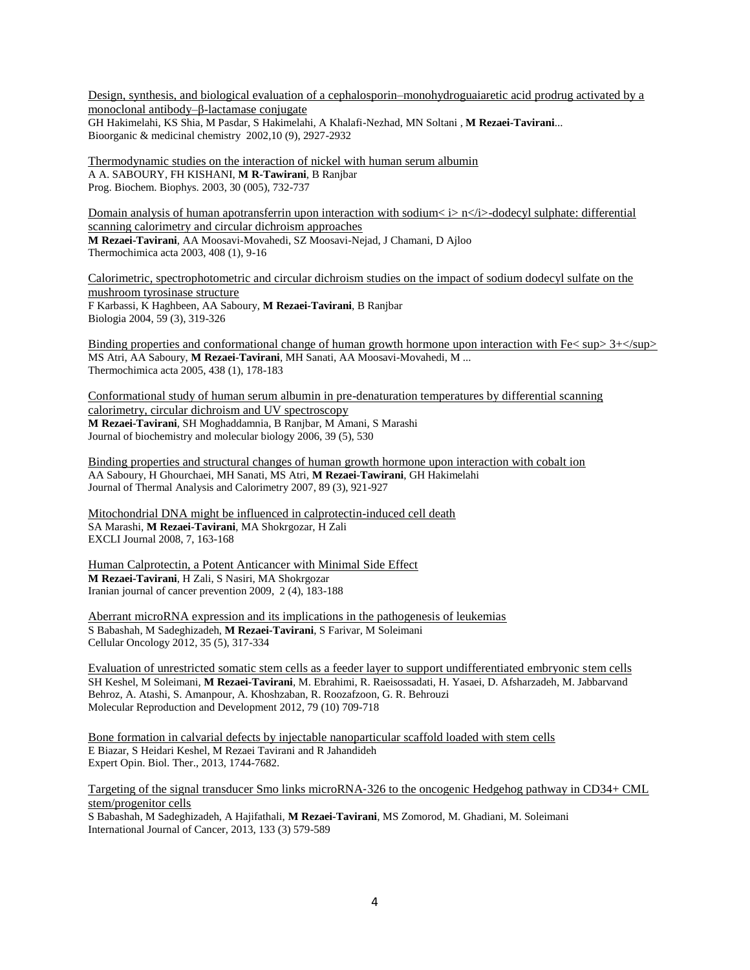[Design, synthesis, and biological evaluation of a cephalosporin–monohydroguaiaretic acid prodrug activated by a](http://scholar.google.com/citations?view_op=view_citation&hl=en&user=AqWrNJ8AAAAJ&citation_for_view=AqWrNJ8AAAAJ:u_35RYKgDlwC)  [monoclonal antibody–β-lactamase conjugate](http://scholar.google.com/citations?view_op=view_citation&hl=en&user=AqWrNJ8AAAAJ&citation_for_view=AqWrNJ8AAAAJ:u_35RYKgDlwC) GH Hakimelahi, KS Shia, M Pasdar, S Hakimelahi, A Khalafi-Nezhad, MN Soltani , **M Rezaei-Tavirani**... Bioorganic & medicinal chemistry 2002,10 (9), 2927-2932

[Thermodynamic studies on the interaction of nickel with human serum albumin](http://scholar.google.com/citations?view_op=view_citation&hl=en&user=AqWrNJ8AAAAJ&citation_for_view=AqWrNJ8AAAAJ:IWHjjKOFINEC) A A. SABOURY, FH KISHANI, **M R-Tawirani**, B Ranjbar Prog. Biochem. Biophys. 2003, 30 (005), 732-737

[Domain analysis of human apotransferrin upon interaction](http://scholar.google.com/citations?view_op=view_citation&hl=en&user=AqWrNJ8AAAAJ&citation_for_view=AqWrNJ8AAAAJ:2osOgNQ5qMEC) with sodium  $\langle i \rangle$  n $\langle i \rangle$ -dodecyl sulphate: differential [scanning calorimetry and circular dichroism approaches](http://scholar.google.com/citations?view_op=view_citation&hl=en&user=AqWrNJ8AAAAJ&citation_for_view=AqWrNJ8AAAAJ:2osOgNQ5qMEC) **M Rezaei-Tavirani**, AA Moosavi-Movahedi, SZ Moosavi-Nejad, J Chamani, D Ajloo Thermochimica acta 2003, 408 (1), 9-16

[Calorimetric, spectrophotometric and circular dichroism studies on the impact of sodium dodecyl sulfate on the](http://scholar.google.com/citations?view_op=view_citation&hl=en&user=AqWrNJ8AAAAJ&citation_for_view=AqWrNJ8AAAAJ:_Qo2XoVZTnwC)  [mushroom tyrosinase structure](http://scholar.google.com/citations?view_op=view_citation&hl=en&user=AqWrNJ8AAAAJ&citation_for_view=AqWrNJ8AAAAJ:_Qo2XoVZTnwC) F Karbassi, K Haghbeen, AA Saboury, **M Rezaei-Tavirani**, B Ranjbar Biologia 2004, 59 (3), 319-326

Binding properties and [conformational change of human growth hormone upon interaction with Fe< sup> 3+</sup>](http://scholar.google.com/citations?view_op=view_citation&hl=en&user=AqWrNJ8AAAAJ&citation_for_view=AqWrNJ8AAAAJ:u-x6o8ySG0sC) MS Atri, AA Saboury, **M Rezaei-Tavirani**, MH Sanati, AA Moosavi-Movahedi, M ... Thermochimica acta 2005, 438 (1), 178-183

[Conformational study of human serum albumin in pre-denaturation temperatures by differential scanning](http://scholar.google.com/citations?view_op=view_citation&hl=en&user=AqWrNJ8AAAAJ&citation_for_view=AqWrNJ8AAAAJ:u5HHmVD_uO8C)  [calorimetry, circular dichroism and UV spectroscopy](http://scholar.google.com/citations?view_op=view_citation&hl=en&user=AqWrNJ8AAAAJ&citation_for_view=AqWrNJ8AAAAJ:u5HHmVD_uO8C) **M Rezaei-Tavirani**, SH Moghaddamnia, B Ranjbar, M Amani, S Marashi Journal of biochemistry and molecular biology 2006, 39 (5), 530

[Binding properties and structural changes of human growth hormone upon interaction with cobalt ion](http://scholar.google.com/citations?view_op=view_citation&hl=en&user=AqWrNJ8AAAAJ&citation_for_view=AqWrNJ8AAAAJ:ZeXyd9-uunAC) AA Saboury, H Ghourchaei, MH Sanati, MS Atri, **M Rezaei-Tawirani**, GH Hakimelahi Journal of Thermal Analysis and Calorimetry 2007, 89 (3), 921-927

[Mitochondrial DNA might be influenced in calprotectin-induced cell death](http://scholar.google.com/citations?view_op=view_citation&hl=en&user=AqWrNJ8AAAAJ&citation_for_view=AqWrNJ8AAAAJ:YsMSGLbcyi4C) SA Marashi, **M Rezaei-Tavirani**, MA Shokrgozar, H Zali EXCLI Journal 2008, 7, 163-168

[Human Calprotectin, a Potent Anticancer with Minimal Side Effect](http://scholar.google.com/citations?view_op=view_citation&hl=en&user=AqWrNJ8AAAAJ&citation_for_view=AqWrNJ8AAAAJ:TQgYirikUcIC) **M Rezaei-Tavirani**, H Zali, S Nasiri, MA Shokrgozar Iranian journal of cancer prevention 2009, 2 (4), 183-188

[Aberrant microRNA expression and its implications in the pathogenesis of leukemias](http://scholar.google.com/citations?view_op=view_citation&hl=en&user=AqWrNJ8AAAAJ&pagesize=100&citation_for_view=AqWrNJ8AAAAJ:hFOr9nPyWt4C) S Babashah, M Sadeghizadeh, **M Rezaei-Tavirani**, S Farivar, M Soleimani Cellular Oncology 2012, 35 (5), 317-334

[Evaluation of unrestricted somatic stem cells as a feeder layer to support undifferentiated embryonic stem cells](http://scholar.google.com/citations?view_op=view_citation&hl=en&user=AqWrNJ8AAAAJ&pagesize=100&citation_for_view=AqWrNJ8AAAAJ:qUcmZB5y_30C) SH Keshel, M Soleimani, **M Rezaei-Tavirani**, M. Ebrahimi, R. Raeisossadati, H. Yasaei, D. Afsharzadeh, M. Jabbarvand Behroz, A. Atashi, S. Amanpour, A. Khoshzaban, R. Roozafzoon, G. R. Behrouzi Molecular Reproduction and Development 2012, 79 (10) 709-718

[Bone formation in calvarial defects by injectable nanoparticular scaffold loaded with stem cells](http://scholar.google.com/scholar_url?hl=en&q=http://informahealthcare.com/doi/abs/10.1517/14712598.2013.840284&sa=X&scisig=AAGBfm3MK2PuCQAtqZWn599S08xZvKM5HQ&oi=scholaralrt) E Biazar, S Heidari Keshel, M Rezaei Tavirani and R Jahandideh Expert Opin. Biol. Ther., 2013, 1744-7682.

Targeting of the signal transducer Smo links microRNA‐[326 to the oncogenic Hedgehog pathway in CD34+ CML](http://scholar.google.com/citations?view_op=view_citation&hl=en&user=Y_ZOsxwAAAAJ&citation_for_view=Y_ZOsxwAAAAJ:8k81kl-MbHgC)  [stem/progenitor cells](http://scholar.google.com/citations?view_op=view_citation&hl=en&user=Y_ZOsxwAAAAJ&citation_for_view=Y_ZOsxwAAAAJ:8k81kl-MbHgC)

S Babashah, M Sadeghizadeh, A Hajifathali, **M Rezaei-Tavirani**, MS Zomorod, M. Ghadiani, M. Soleimani International Journal of Cancer, 2013, 133 (3) 579-589